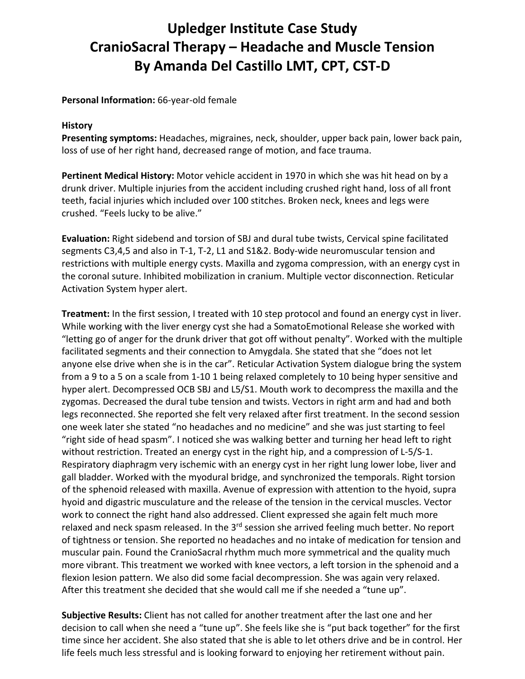## **Upledger Institute Case Study CranioSacral Therapy – Headache and Muscle Tension By Amanda Del Castillo LMT, CPT, CST‐D**

## **Personal Information:** 66‐year‐old female

## **History**

**Presenting symptoms:** Headaches, migraines, neck, shoulder, upper back pain, lower back pain, loss of use of her right hand, decreased range of motion, and face trauma.

**Pertinent Medical History:** Motor vehicle accident in 1970 in which she was hit head on by a drunk driver. Multiple injuries from the accident including crushed right hand, loss of all front teeth, facial injuries which included over 100 stitches. Broken neck, knees and legs were crushed. "Feels lucky to be alive."

**Evaluation:** Right sidebend and torsion of SBJ and dural tube twists, Cervical spine facilitated segments C3,4,5 and also in T-1, T-2, L1 and S1&2. Body-wide neuromuscular tension and restrictions with multiple energy cysts. Maxilla and zygoma compression, with an energy cyst in the coronal suture. Inhibited mobilization in cranium. Multiple vector disconnection. Reticular Activation System hyper alert.

**Treatment:** In the first session, I treated with 10 step protocol and found an energy cyst in liver. While working with the liver energy cyst she had a SomatoEmotional Release she worked with "letting go of anger for the drunk driver that got off without penalty". Worked with the multiple facilitated segments and their connection to Amygdala. She stated that she "does not let anyone else drive when she is in the car". Reticular Activation System dialogue bring the system from a 9 to a 5 on a scale from 1‐10 1 being relaxed completely to 10 being hyper sensitive and hyper alert. Decompressed OCB SBJ and L5/S1. Mouth work to decompress the maxilla and the zygomas. Decreased the dural tube tension and twists. Vectors in right arm and had and both legs reconnected. She reported she felt very relaxed after first treatment. In the second session one week later she stated "no headaches and no medicine" and she was just starting to feel "right side of head spasm". I noticed she was walking better and turning her head left to right without restriction. Treated an energy cyst in the right hip, and a compression of L‐5/S‐1. Respiratory diaphragm very ischemic with an energy cyst in her right lung lower lobe, liver and gall bladder. Worked with the myodural bridge, and synchronized the temporals. Right torsion of the sphenoid released with maxilla. Avenue of expression with attention to the hyoid, supra hyoid and digastric musculature and the release of the tension in the cervical muscles. Vector work to connect the right hand also addressed. Client expressed she again felt much more relaxed and neck spasm released. In the 3<sup>rd</sup> session she arrived feeling much better. No report of tightness or tension. She reported no headaches and no intake of medication for tension and muscular pain. Found the CranioSacral rhythm much more symmetrical and the quality much more vibrant. This treatment we worked with knee vectors, a left torsion in the sphenoid and a flexion lesion pattern. We also did some facial decompression. She was again very relaxed. After this treatment she decided that she would call me if she needed a "tune up".

**Subjective Results:** Client has not called for another treatment after the last one and her decision to call when she need a "tune up". She feels like she is "put back together" for the first time since her accident. She also stated that she is able to let others drive and be in control. Her life feels much less stressful and is looking forward to enjoying her retirement without pain.